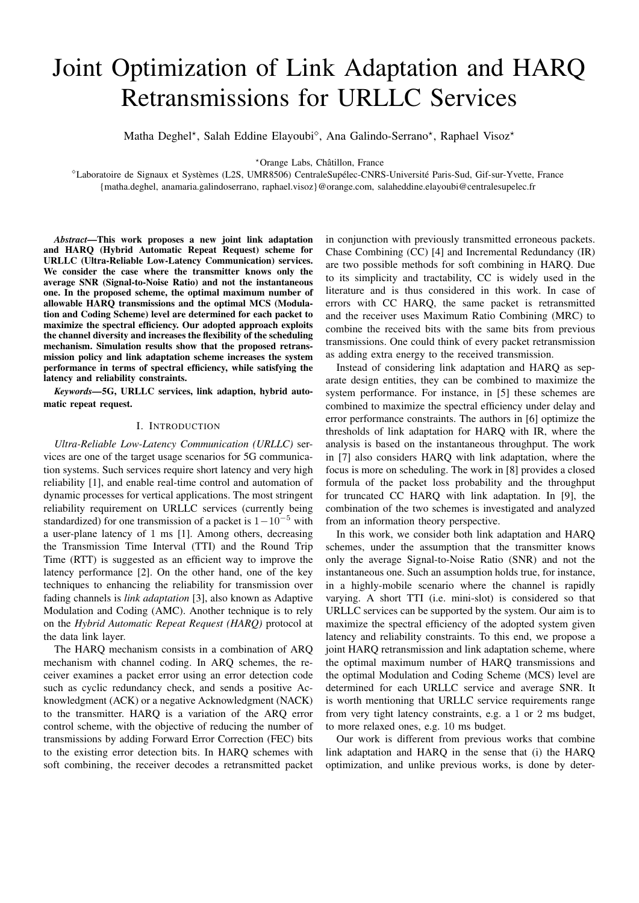# Joint Optimization of Link Adaptation and HARQ Retransmissions for URLLC Services

Matha Deghel\*, Salah Eddine Elayoubi<sup>o</sup>, Ana Galindo-Serrano\*, Raphael Visoz\*

?Orange Labs, Châtillon, France

Laboratoire de Signaux et Systèmes (L2S, UMR8506) CentraleSupélec-CNRS-Université Paris-Sud, Gif-sur-Yvette, France {matha.deghel, anamaria.galindoserrano, raphael.visoz}@orange.com, salaheddine.elayoubi@centralesupelec.fr

*Abstract*—This work proposes a new joint link adaptation and HARQ (Hybrid Automatic Repeat Request) scheme for URLLC (Ultra-Reliable Low-Latency Communication) services. We consider the case where the transmitter knows only the average SNR (Signal-to-Noise Ratio) and not the instantaneous one. In the proposed scheme, the optimal maximum number of allowable HARQ transmissions and the optimal MCS (Modulation and Coding Scheme) level are determined for each packet to maximize the spectral efficiency. Our adopted approach exploits the channel diversity and increases the flexibility of the scheduling mechanism. Simulation results show that the proposed retransmission policy and link adaptation scheme increases the system performance in terms of spectral efficiency, while satisfying the latency and reliability constraints.

*Keywords—*5G, URLLC services, link adaption, hybrid automatic repeat request.

## I. INTRODUCTION

*Ultra-Reliable Low-Latency Communication (URLLC)* services are one of the target usage scenarios for 5G communication systems. Such services require short latency and very high reliability [\[1\]](#page-5-0), and enable real-time control and automation of dynamic processes for vertical applications. The most stringent reliability requirement on URLLC services (currently being standardized) for one transmission of a packet is  $1-10^{-5}$  with a user-plane latency of 1 ms [\[1\]](#page-5-0). Among others, decreasing the Transmission Time Interval (TTI) and the Round Trip Time (RTT) is suggested as an efficient way to improve the latency performance [\[2\]](#page-5-1). On the other hand, one of the key techniques to enhancing the reliability for transmission over fading channels is *link adaptation* [\[3\]](#page-5-2), also known as Adaptive Modulation and Coding (AMC). Another technique is to rely on the *Hybrid Automatic Repeat Request (HARQ)* protocol at the data link layer.

The HARQ mechanism consists in a combination of ARQ mechanism with channel coding. In ARQ schemes, the receiver examines a packet error using an error detection code such as cyclic redundancy check, and sends a positive Acknowledgment (ACK) or a negative Acknowledgment (NACK) to the transmitter. HARQ is a variation of the ARQ error control scheme, with the objective of reducing the number of transmissions by adding Forward Error Correction (FEC) bits to the existing error detection bits. In HARQ schemes with soft combining, the receiver decodes a retransmitted packet

in conjunction with previously transmitted erroneous packets. Chase Combining (CC) [\[4\]](#page-5-3) and Incremental Redundancy (IR) are two possible methods for soft combining in HARQ. Due to its simplicity and tractability, CC is widely used in the literature and is thus considered in this work. In case of errors with CC HARQ, the same packet is retransmitted and the receiver uses Maximum Ratio Combining (MRC) to combine the received bits with the same bits from previous transmissions. One could think of every packet retransmission as adding extra energy to the received transmission.

Instead of considering link adaptation and HARQ as separate design entities, they can be combined to maximize the system performance. For instance, in [\[5\]](#page-5-4) these schemes are combined to maximize the spectral efficiency under delay and error performance constraints. The authors in [\[6\]](#page-5-5) optimize the thresholds of link adaptation for HARQ with IR, where the analysis is based on the instantaneous throughput. The work in [\[7\]](#page-5-6) also considers HARQ with link adaptation, where the focus is more on scheduling. The work in [\[8\]](#page-5-7) provides a closed formula of the packet loss probability and the throughput for truncated CC HARQ with link adaptation. In [\[9\]](#page-5-8), the combination of the two schemes is investigated and analyzed from an information theory perspective.

In this work, we consider both link adaptation and HARQ schemes, under the assumption that the transmitter knows only the average Signal-to-Noise Ratio (SNR) and not the instantaneous one. Such an assumption holds true, for instance, in a highly-mobile scenario where the channel is rapidly varying. A short TTI (i.e. mini-slot) is considered so that URLLC services can be supported by the system. Our aim is to maximize the spectral efficiency of the adopted system given latency and reliability constraints. To this end, we propose a joint HARQ retransmission and link adaptation scheme, where the optimal maximum number of HARQ transmissions and the optimal Modulation and Coding Scheme (MCS) level are determined for each URLLC service and average SNR. It is worth mentioning that URLLC service requirements range from very tight latency constraints, e.g. a 1 or 2 ms budget, to more relaxed ones, e.g. 10 ms budget.

Our work is different from previous works that combine link adaptation and HARQ in the sense that (i) the HARQ optimization, and unlike previous works, is done by deter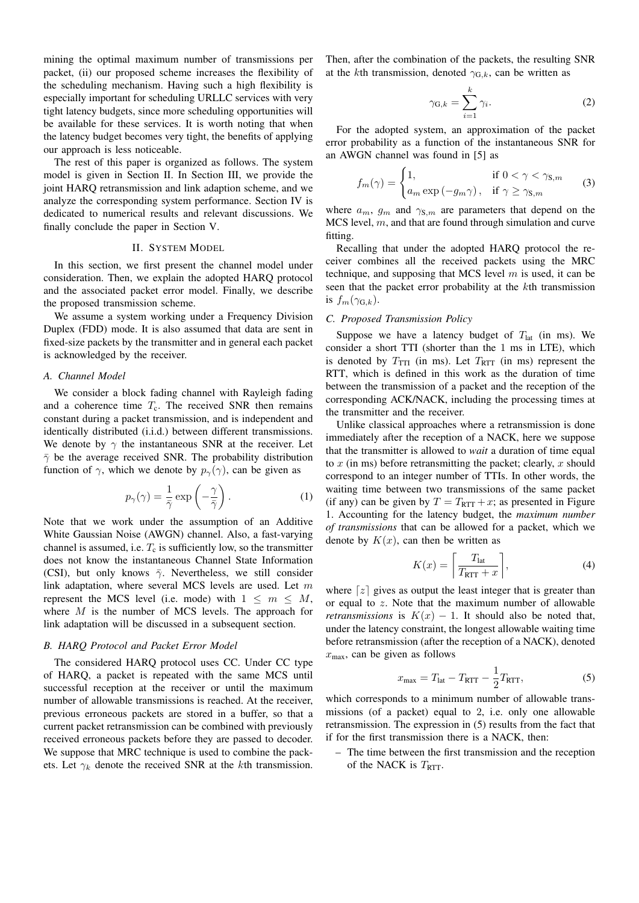mining the optimal maximum number of transmissions per packet, (ii) our proposed scheme increases the flexibility of the scheduling mechanism. Having such a high flexibility is especially important for scheduling URLLC services with very tight latency budgets, since more scheduling opportunities will be available for these services. It is worth noting that when the latency budget becomes very tight, the benefits of applying our approach is less noticeable.

The rest of this paper is organized as follows. The system model is given in Section [II.](#page-1-0) In Section [III,](#page-2-0) we provide the joint HARQ retransmission and link adaption scheme, and we analyze the corresponding system performance. Section [IV](#page-4-0) is dedicated to numerical results and relevant discussions. We finally conclude the paper in Section [V.](#page-5-9)

#### II. SYSTEM MODEL

<span id="page-1-0"></span>In this section, we first present the channel model under consideration. Then, we explain the adopted HARQ protocol and the associated packet error model. Finally, we describe the proposed transmission scheme.

We assume a system working under a Frequency Division Duplex (FDD) mode. It is also assumed that data are sent in fixed-size packets by the transmitter and in general each packet is acknowledged by the receiver.

# *A. Channel Model*

We consider a block fading channel with Rayleigh fading and a coherence time  $T_c$ . The received SNR then remains constant during a packet transmission, and is independent and identically distributed (i.i.d.) between different transmissions. We denote by  $\gamma$  the instantaneous SNR at the receiver. Let  $\bar{\gamma}$  be the average received SNR. The probability distribution function of  $\gamma$ , which we denote by  $p_{\gamma}(\gamma)$ , can be given as

$$
p_{\gamma}(\gamma) = \frac{1}{\bar{\gamma}} \exp\left(-\frac{\gamma}{\bar{\gamma}}\right). \tag{1}
$$

Note that we work under the assumption of an Additive White Gaussian Noise (AWGN) channel. Also, a fast-varying channel is assumed, i.e.  $T_c$  is sufficiently low, so the transmitter does not know the instantaneous Channel State Information (CSI), but only knows  $\bar{\gamma}$ . Nevertheless, we still consider link adaptation, where several MCS levels are used. Let  $m$ represent the MCS level (i.e. mode) with  $1 \leq m \leq M$ , where  $M$  is the number of MCS levels. The approach for link adaptation will be discussed in a subsequent section.

## *B. HARQ Protocol and Packet Error Model*

The considered HARQ protocol uses CC. Under CC type of HARQ, a packet is repeated with the same MCS until successful reception at the receiver or until the maximum number of allowable transmissions is reached. At the receiver, previous erroneous packets are stored in a buffer, so that a current packet retransmission can be combined with previously received erroneous packets before they are passed to decoder. We suppose that MRC technique is used to combine the packets. Let  $\gamma_k$  denote the received SNR at the kth transmission.

Then, after the combination of the packets, the resulting SNR at the kth transmission, denoted  $\gamma_{G,k}$ , can be written as

$$
\gamma_{\mathbf{G},k} = \sum_{i=1}^{k} \gamma_i.
$$
 (2)

For the adopted system, an approximation of the packet error probability as a function of the instantaneous SNR for an AWGN channel was found in [\[5\]](#page-5-4) as

<span id="page-1-2"></span>
$$
f_m(\gamma) = \begin{cases} 1, & \text{if } 0 < \gamma < \gamma_{\text{S},m} \\ a_m \exp\left(-g_m \gamma\right), & \text{if } \gamma \ge \gamma_{\text{S},m} \end{cases} \tag{3}
$$

where  $a_m$ ,  $g_m$  and  $\gamma_{s,m}$  are parameters that depend on the  $MCS$  level,  $m$ , and that are found through simulation and curve fitting.

Recalling that under the adopted HARQ protocol the receiver combines all the received packets using the MRC technique, and supposing that MCS level  $m$  is used, it can be seen that the packet error probability at the kth transmission is  $f_m(\gamma_{\text{G},k})$ .

#### *C. Proposed Transmission Policy*

Suppose we have a latency budget of  $T<sub>lat</sub>$  (in ms). We consider a short TTI (shorter than the 1 ms in LTE), which is denoted by  $T_{\text{TTI}}$  (in ms). Let  $T_{\text{RTT}}$  (in ms) represent the RTT, which is defined in this work as the duration of time between the transmission of a packet and the reception of the corresponding ACK/NACK, including the processing times at the transmitter and the receiver.

Unlike classical approaches where a retransmission is done immediately after the reception of a NACK, here we suppose that the transmitter is allowed to *wait* a duration of time equal to  $x$  (in ms) before retransmitting the packet; clearly,  $x$  should correspond to an integer number of TTIs. In other words, the waiting time between two transmissions of the same packet (if any) can be given by  $T = T<sub>RTT</sub> + x$ ; as presented in Figure [1.](#page-2-1) Accounting for the latency budget, the *maximum number of transmissions* that can be allowed for a packet, which we denote by  $K(x)$ , can then be written as

<span id="page-1-3"></span>
$$
K(x) = \left[\frac{T_{\text{lat}}}{T_{\text{RTT}} + x}\right],\tag{4}
$$

where  $\lceil z \rceil$  gives as output the least integer that is greater than or equal to z. Note that the maximum number of allowable *retransmissions* is  $K(x) - 1$ . It should also be noted that, under the latency constraint, the longest allowable waiting time before retransmission (after the reception of a NACK), denoted  $x_{\text{max}}$ , can be given as follows

<span id="page-1-1"></span>
$$
x_{\text{max}} = T_{\text{lat}} - T_{\text{RTT}} - \frac{1}{2} T_{\text{RTT}},
$$
\n(5)

which corresponds to a minimum number of allowable transmissions (of a packet) equal to 2, i.e. only one allowable retransmission. The expression in [\(5\)](#page-1-1) results from the fact that if for the first transmission there is a NACK, then:

– The time between the first transmission and the reception of the NACK is  $T_{\text{RTT}}$ .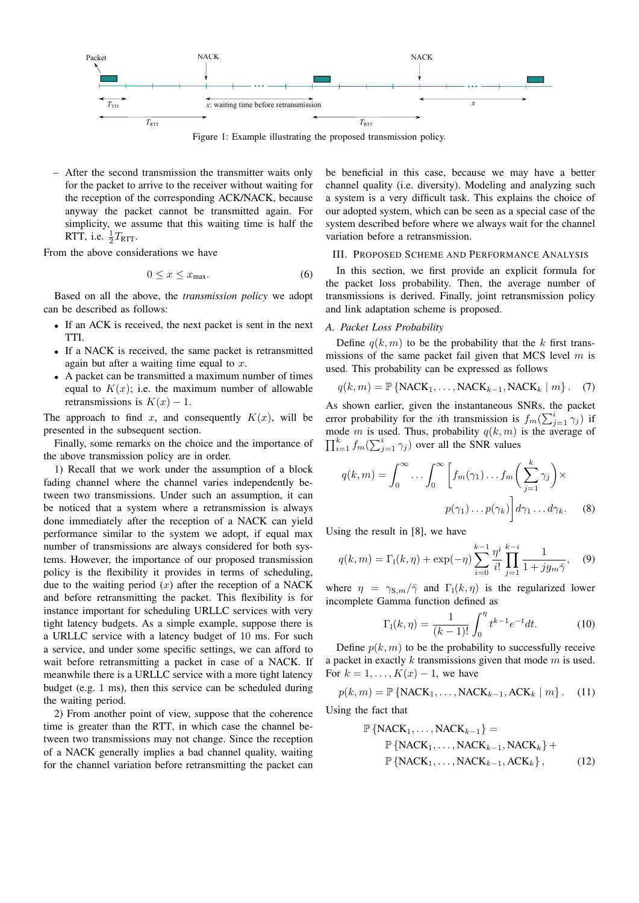<span id="page-2-1"></span>

Figure 1: Example illustrating the proposed transmission policy.

– After the second transmission the transmitter waits only for the packet to arrive to the receiver without waiting for the reception of the corresponding ACK/NACK, because anyway the packet cannot be transmitted again. For simplicity, we assume that this waiting time is half the RTT, i.e.  $\frac{1}{2}T_{\text{RTT}}$ .

From the above considerations we have

$$
0 \le x \le x_{\text{max}}.\tag{6}
$$

Based on all the above, the *transmission policy* we adopt can be described as follows:

- If an ACK is received, the next packet is sent in the next TTI.
- If a NACK is received, the same packet is retransmitted again but after a waiting time equal to  $x$ .
- A packet can be transmitted a maximum number of times equal to  $K(x)$ ; i.e. the maximum number of allowable retransmissions is  $K(x) - 1$ .

The approach to find x, and consequently  $K(x)$ , will be presented in the subsequent section.

Finally, some remarks on the choice and the importance of the above transmission policy are in order.

1) Recall that we work under the assumption of a block fading channel where the channel varies independently between two transmissions. Under such an assumption, it can be noticed that a system where a retransmission is always done immediately after the reception of a NACK can yield performance similar to the system we adopt, if equal max number of transmissions are always considered for both systems. However, the importance of our proposed transmission policy is the flexibility it provides in terms of scheduling, due to the waiting period  $(x)$  after the reception of a NACK and before retransmitting the packet. This flexibility is for instance important for scheduling URLLC services with very tight latency budgets. As a simple example, suppose there is a URLLC service with a latency budget of 10 ms. For such a service, and under some specific settings, we can afford to wait before retransmitting a packet in case of a NACK. If meanwhile there is a URLLC service with a more tight latency budget (e.g. 1 ms), then this service can be scheduled during the waiting period.

2) From another point of view, suppose that the coherence time is greater than the RTT, in which case the channel between two transmissions may not change. Since the reception of a NACK generally implies a bad channel quality, waiting for the channel variation before retransmitting the packet can be beneficial in this case, because we may have a better channel quality (i.e. diversity). Modeling and analyzing such a system is a very difficult task. This explains the choice of our adopted system, which can be seen as a special case of the system described before where we always wait for the channel variation before a retransmission.

#### <span id="page-2-0"></span>III. PROPOSED SCHEME AND PERFORMANCE ANALYSIS

In this section, we first provide an explicit formula for the packet loss probability. Then, the average number of transmissions is derived. Finally, joint retransmission policy and link adaptation scheme is proposed.

#### *A. Packet Loss Probability*

Define  $q(k, m)$  to be the probability that the k first transmissions of the same packet fail given that MCS level  $m$  is used. This probability can be expressed as follows

$$
q(k,m) = \mathbb{P}\left\{\text{NACK}_1, \dots, \text{NACK}_{k-1}, \text{NACK}_k \mid m\right\}. \quad (7)
$$

As shown earlier, given the instantaneous SNRs, the packet error probability for the *i*th transmission is  $f_m(\sum_{j=1}^i \gamma_j)$  if mode m is used. Thus, probability  $q(k, m)$  is the average of  $\prod_{i=1}^{k} f_m(\sum_{j=1}^{i} \gamma_j)$  over all the SNR values

$$
q(k,m) = \int_0^\infty \dots \int_0^\infty \left[ f_m(\gamma_1) \dots f_m\left(\sum_{j=1}^k \gamma_j\right) \times p(\gamma_1) \dots p(\gamma_k) \right] d\gamma_1 \dots d\gamma_k.
$$
 (8)

Using the result in [\[8\]](#page-5-7), we have

$$
q(k,m) = \Gamma_1(k,\eta) + \exp(-\eta) \sum_{i=0}^{k-1} \frac{\eta^i}{i!} \prod_{j=1}^{k-i} \frac{1}{1+jg_m \bar{\gamma}}, \quad (9)
$$

where  $\eta = \gamma_{S,m}/\overline{\gamma}$  and  $\Gamma_1(k,\eta)$  is the regularized lower incomplete Gamma function defined as

<span id="page-2-2"></span>
$$
\Gamma_1(k,\eta) = \frac{1}{(k-1)!} \int_0^{\eta} t^{k-1} e^{-t} dt.
$$
 (10)

Define  $p(k, m)$  to be the probability to successfully receive a packet in exactly  $k$  transmissions given that mode  $m$  is used. For  $k = 1, \ldots, K(x) - 1$ , we have

$$
p(k, m) = \mathbb{P}\left\{\text{NACK}_1, \dots, \text{NACK}_{k-1}, \text{ACK}_k \mid m\right\}. \tag{11}
$$

Using the fact that

$$
\mathbb{P} \{ NACK_1, \dots, NACK_{k-1} \} =
$$
  
\n
$$
\mathbb{P} \{ NACK_1, \dots, NACK_{k-1}, NACK_k \} +
$$
  
\n
$$
\mathbb{P} \{ NACK_1, \dots, NACK_{k-1}, ACK_k \},
$$
 (12)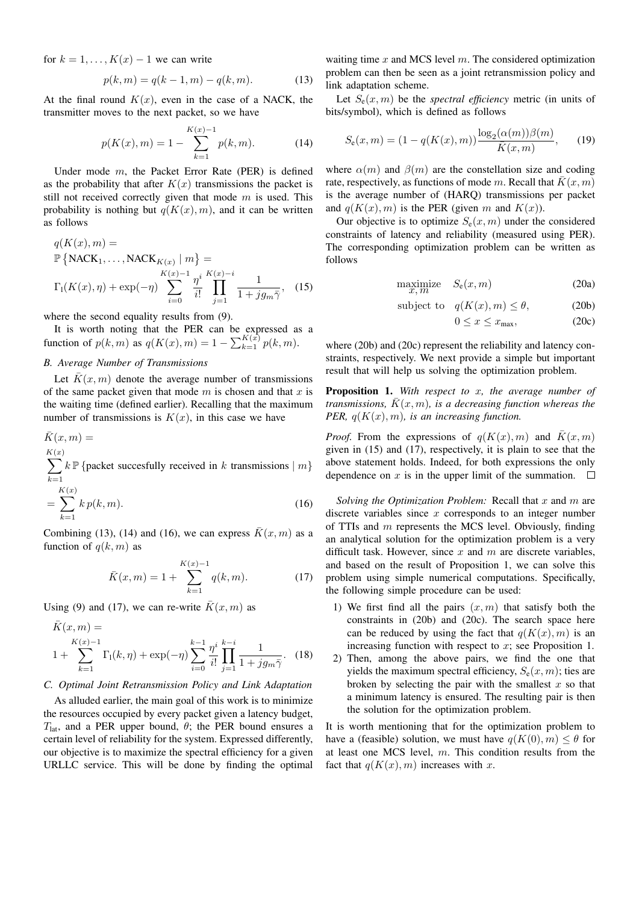for  $k = 1, \ldots, K(x) - 1$  we can write

$$
p(k,m) = q(k-1,m) - q(k,m).
$$
 (13)

At the final round  $K(x)$ , even in the case of a NACK, the transmitter moves to the next packet, so we have

$$
p(K(x), m) = 1 - \sum_{k=1}^{K(x)-1} p(k, m).
$$
 (14)

Under mode  $m$ , the Packet Error Rate (PER) is defined as the probability that after  $K(x)$  transmissions the packet is still not received correctly given that mode  $m$  is used. This probability is nothing but  $q(K(x), m)$ , and it can be written as follows

$$
q(K(x), m) =
$$
  
\n
$$
\mathbb{P}\left\{\text{NACK}_1, \dots, \text{NACK}_{K(x)} \mid m\right\} =
$$
  
\n
$$
\Gamma_1(K(x), \eta) + \exp(-\eta) \sum_{i=0}^{K(x)-1} \frac{\eta^i}{i!} \prod_{j=1}^{K(x)-i} \frac{1}{1+jg_m \bar{\gamma}},
$$
 (15)

where the second equality results from  $(9)$ .

It is worth noting that the PER can be expressed as a function of  $p(k, m)$  as  $q(K(x), m) = 1 - \sum_{k=1}^{K(x)} p(k, m)$ .

# *B. Average Number of Transmissions*

Let  $K(x, m)$  denote the average number of transmissions of the same packet given that mode  $m$  is chosen and that  $x$  is the waiting time (defined earlier). Recalling that the maximum number of transmissions is  $K(x)$ , in this case we have

$$
\bar{K}(x, m) =
$$
\n
$$
\sum_{k=1}^{K(x)} k \mathbb{P} \{ \text{packet successfully received in } k \text{ transmissions } | m \}
$$
\n
$$
\sum_{k=1}^{K(x)} k(x) \tag{46}
$$

$$
=\sum_{k=1} k p(k,m). \tag{16}
$$

Combining [\(13\)](#page-3-0), [\(14\)](#page-3-1) and [\(16\)](#page-3-2), we can express  $\bar{K}(x, m)$  as a function of  $q(k, m)$  as

$$
\bar{K}(x,m) = 1 + \sum_{k=1}^{K(x)-1} q(k,m).
$$
 (17)

Using [\(9\)](#page-2-2) and [\(17\)](#page-3-3), we can re-write  $\overline{K}(x, m)$  as

$$
\bar{K}(x,m) =
$$
\n
$$
1 + \sum_{k=1}^{K(x)-1} \Gamma_1(k,\eta) + \exp(-\eta) \sum_{i=0}^{k-1} \frac{\eta^i}{i!} \prod_{j=1}^{k-i} \frac{1}{1+jg_m \bar{\gamma}}.
$$
\n(18)

#### *C. Optimal Joint Retransmission Policy and Link Adaptation*

As alluded earlier, the main goal of this work is to minimize the resources occupied by every packet given a latency budget,  $T_{\text{lat}}$ , and a PER upper bound,  $\theta$ ; the PER bound ensures a certain level of reliability for the system. Expressed differently, our objective is to maximize the spectral efficiency for a given URLLC service. This will be done by finding the optimal

<span id="page-3-0"></span>waiting time  $x$  and MCS level  $m$ . The considered optimization problem can then be seen as a joint retransmission policy and link adaptation scheme.

Let  $S_e(x, m)$  be the *spectral efficiency* metric (in units of bits/symbol), which is defined as follows

$$
S_e(x, m) = (1 - q(K(x), m)) \frac{\log_2(\alpha(m)) \beta(m)}{\bar{K}(x, m)},
$$
 (19)

<span id="page-3-1"></span>where  $\alpha(m)$  and  $\beta(m)$  are the constellation size and coding rate, respectively, as functions of mode m. Recall that  $\overline{K}(x, m)$ is the average number of (HARQ) transmissions per packet and  $q(K(x), m)$  is the PER (given m and  $K(x)$ ).

<span id="page-3-6"></span>Our objective is to optimize  $S_e(x, m)$  under the considered constraints of latency and reliability (measured using PER). The corresponding optimization problem can be written as follows

$$
\begin{array}{ll}\text{maximize} & S_{\text{e}}(x, m) \\ x, m \end{array} \tag{20a}
$$

subject to 
$$
q(K(x), m) \le \theta
$$
, (20b)

<span id="page-3-5"></span><span id="page-3-4"></span>
$$
0 \le x \le x_{\text{max}},\tag{20c}
$$

where [\(20b\)](#page-3-4) and [\(20c\)](#page-3-5) represent the reliability and latency constraints, respectively. We next provide a simple but important result that will help us solving the optimization problem.

<span id="page-3-7"></span>Proposition 1. *With respect to* x*, the average number of transmissions,*  $\bar{K}(x, m)$ *, is a decreasing function whereas the PER,*  $q(K(x), m)$ *, is an increasing function.* 

*Proof.* From the expressions of  $q(K(x), m)$  and  $\overline{K}(x, m)$ given in [\(15\)](#page-3-6) and [\(17\)](#page-3-3), respectively, it is plain to see that the above statement holds. Indeed, for both expressions the only dependence on x is in the upper limit of the summation.  $\square$ 

<span id="page-3-2"></span>*Solving the Optimization Problem:* Recall that x and m are discrete variables since  $x$  corresponds to an integer number of TTIs and  $m$  represents the MCS level. Obviously, finding an analytical solution for the optimization problem is a very difficult task. However, since  $x$  and  $m$  are discrete variables, and based on the result of Proposition [1,](#page-3-7) we can solve this problem using simple numerical computations. Specifically, the following simple procedure can be used:

- <span id="page-3-3"></span>1) We first find all the pairs  $(x, m)$  that satisfy both the constraints in [\(20b\)](#page-3-4) and [\(20c\)](#page-3-5). The search space here can be reduced by using the fact that  $q(K(x), m)$  is an increasing function with respect to  $x$ ; see Proposition [1.](#page-3-7)
- 2) Then, among the above pairs, we find the one that yields the maximum spectral efficiency,  $S_e(x, m)$ ; ties are broken by selecting the pair with the smallest  $x$  so that a minimum latency is ensured. The resulting pair is then the solution for the optimization problem.

It is worth mentioning that for the optimization problem to have a (feasible) solution, we must have  $q(K(0), m) \leq \theta$  for at least one MCS level,  $m$ . This condition results from the fact that  $q(K(x), m)$  increases with x.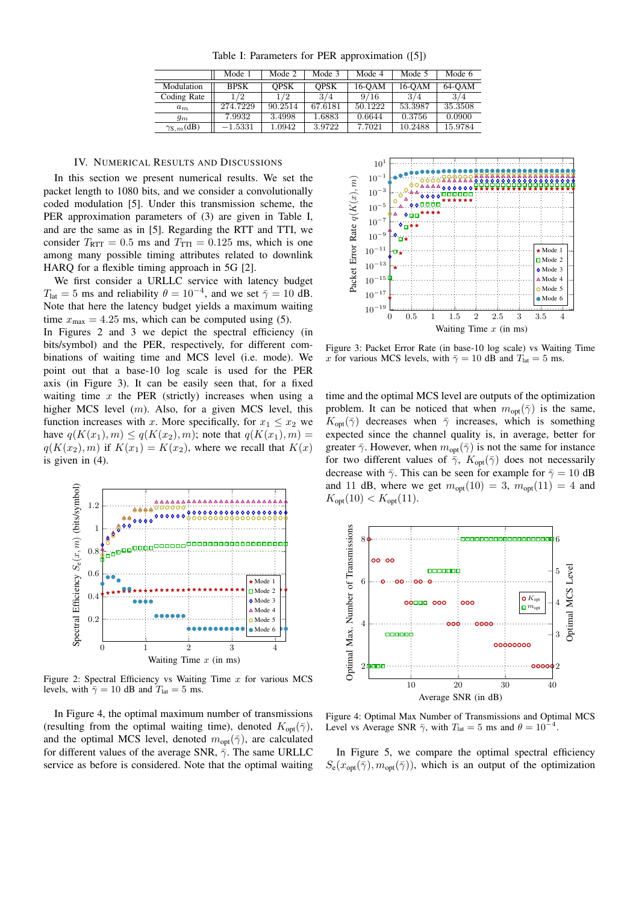Table I: Parameters for PER approximation ([\[5\]](#page-5-4))

<span id="page-4-1"></span>

|                                                     | Mode 1      | Mode 2      | Mode 3      | Mode 4  | Mode 5    | Mode 6  |
|-----------------------------------------------------|-------------|-------------|-------------|---------|-----------|---------|
| Modulation                                          | <b>BPSK</b> | <b>OPSK</b> | <b>OPSK</b> | 16-OAM  | $16$ -OAM | 64-OAM  |
| Coding Rate                                         | 1/2         | 1/2         | 3/4         | 9/16    | 3/4       | 3/4     |
| $a_m$                                               | 274.7229    | 90.2514     | 67.6181     | 50.1222 | 53.3987   | 35.3508 |
| $g_m$                                               | 7.9932      | 3.4998      | 1.6883      | 0.6644  | 0.3756    | 0.0900  |
| $\gamma_{\mathrm{S},m}(\mathrm{d}\bar{\mathrm{B}})$ | $-1.5331$   | 1.0942      | 3.9722      | 7.7021  | 10.2488   | 15.9784 |

## IV. NUMERICAL RESULTS AND DISCUSSIONS

<span id="page-4-0"></span>In this section we present numerical results. We set the packet length to 1080 bits, and we consider a convolutionally coded modulation [\[5\]](#page-5-4). Under this transmission scheme, the PER approximation parameters of [\(3\)](#page-1-2) are given in Table [I,](#page-4-1) and are the same as in [\[5\]](#page-5-4). Regarding the RTT and TTI, we consider  $T_{\text{RTT}} = 0.5$  ms and  $T_{\text{TTI}} = 0.125$  ms, which is one among many possible timing attributes related to downlink HARQ for a flexible timing approach in 5G [\[2\]](#page-5-1).

We first consider a URLLC service with latency budget  $T_{\text{lat}} = 5$  ms and reliability  $\theta = 10^{-4}$ , and we set  $\bar{\gamma} = 10$  dB. Note that here the latency budget yields a maximum waiting time  $x_{\text{max}} = 4.25$  ms, which can be computed using [\(5\)](#page-1-1).

In Figures [2](#page-4-2) and [3](#page-4-3) we depict the spectral efficiency (in bits/symbol) and the PER, respectively, for different combinations of waiting time and MCS level (i.e. mode). We point out that a base-10 log scale is used for the PER axis (in Figure [3\)](#page-4-3). It can be easily seen that, for a fixed waiting time  $x$  the PER (strictly) increases when using a higher MCS level  $(m)$ . Also, for a given MCS level, this function increases with x. More specifically, for  $x_1 \leq x_2$  we have  $q(K(x_1), m) \leq q(K(x_2), m)$ ; note that  $q(K(x_1), m) =$  $q(K(x_2), m)$  if  $K(x_1) = K(x_2)$ , where we recall that  $K(x)$ is given in [\(4\)](#page-1-3).

<span id="page-4-2"></span>

Figure 2: Spectral Efficiency vs Waiting Time  $x$  for various MCS levels, with  $\bar{\gamma} = 10$  dB and  $T_{\text{lat}} = 5$  ms.

In Figure [4,](#page-4-4) the optimal maximum number of transmissions (resulting from the optimal waiting time), denoted  $K_{opt}(\bar{\gamma})$ , and the optimal MCS level, denoted  $m_{opt}(\bar{\gamma})$ , are calculated for different values of the average SNR,  $\bar{\gamma}$ . The same URLLC service as before is considered. Note that the optimal waiting

<span id="page-4-3"></span>

Figure 3: Packet Error Rate (in base-10 log scale) vs Waiting Time x for various MCS levels, with  $\bar{\gamma} = 10$  dB and  $T_{\text{lat}} = 5$  ms.

time and the optimal MCS level are outputs of the optimization problem. It can be noticed that when  $m_{\text{opt}}(\bar{\gamma})$  is the same,  $K_{\text{opt}}(\bar{\gamma})$  decreases when  $\bar{\gamma}$  increases, which is something expected since the channel quality is, in average, better for greater  $\bar{\gamma}$ . However, when  $m_{\text{opt}}(\bar{\gamma})$  is not the same for instance for two different values of  $\bar{\gamma}$ ,  $K_{\text{opt}}(\bar{\gamma})$  does not necessarily decrease with  $\bar{\gamma}$ . This can be seen for example for  $\bar{\gamma} = 10$  dB and 11 dB, where we get  $m_{opt}(10) = 3$ ,  $m_{opt}(11) = 4$  and  $K_{\text{opt}}(10) < K_{\text{opt}}(11).$ 

<span id="page-4-4"></span>

Figure 4: Optimal Max Number of Transmissions and Optimal MCS Level vs Average SNR  $\bar{\gamma}$ , with  $T_{\text{lat}} = 5$  ms and  $\theta = 10^{-4}$ .

In Figure [5,](#page-5-10) we compare the optimal spectral efficiency  $S_e(x_{opt}(\overline{\gamma}), m_{opt}(\overline{\gamma}))$ , which is an output of the optimization